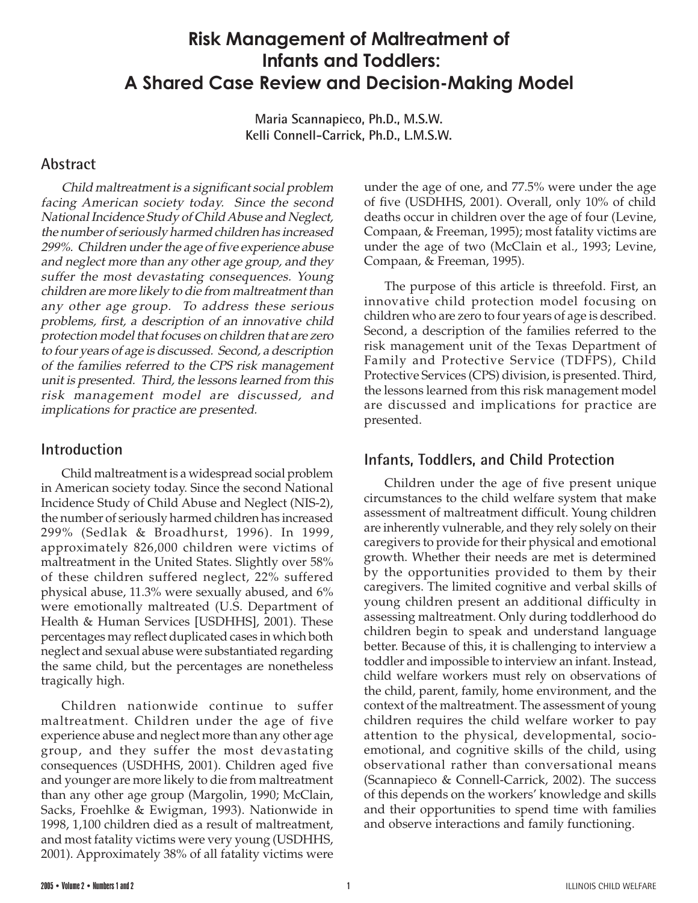# **Risk Management of Maltreatment of Infants and Toddlers: A Shared Case Review and Decision-Making Model**

**Maria Scannapieco, Ph.D., M.S.W. Kelli Connell-Carrick, Ph.D., L.M.S.W.**

### **Abstract**

Child maltreatment is a significant social problem facing American society today. Since the second National Incidence Study of Child Abuse and Neglect, the number of seriously harmed children has increased 299%. Children under the age of five experience abuse and neglect more than any other age group, and they suffer the most devastating consequences. Young children are more likely to die from maltreatment than any other age group. To address these serious problems, first, a description of an innovative child protection model that focuses on children that are zero to four years of age is discussed. Second, a description of the families referred to the CPS risk management unit is presented. Third, the lessons learned from this risk management model are discussed, and implications for practice are presented.

### **Introduction**

Child maltreatment is a widespread social problem in American society today. Since the second National Incidence Study of Child Abuse and Neglect (NIS-2), the number of seriously harmed children has increased 299% (Sedlak & Broadhurst, 1996). In 1999, approximately 826,000 children were victims of maltreatment in the United States. Slightly over 58% of these children suffered neglect, 22% suffered physical abuse, 11.3% were sexually abused, and 6% were emotionally maltreated (U.S. Department of Health & Human Services [USDHHS], 2001). These percentages may reflect duplicated cases in which both neglect and sexual abuse were substantiated regarding the same child, but the percentages are nonetheless tragically high.

Children nationwide continue to suffer maltreatment. Children under the age of five experience abuse and neglect more than any other age group, and they suffer the most devastating consequences (USDHHS, 2001). Children aged five and younger are more likely to die from maltreatment than any other age group (Margolin, 1990; McClain, Sacks, Froehlke & Ewigman, 1993). Nationwide in 1998, 1,100 children died as a result of maltreatment, and most fatality victims were very young (USDHHS, 2001). Approximately 38% of all fatality victims were

under the age of one, and 77.5% were under the age of five (USDHHS, 2001). Overall, only 10% of child deaths occur in children over the age of four (Levine, Compaan, & Freeman, 1995); most fatality victims are under the age of two (McClain et al., 1993; Levine, Compaan, & Freeman, 1995).

The purpose of this article is threefold. First, an innovative child protection model focusing on children who are zero to four years of age is described. Second, a description of the families referred to the risk management unit of the Texas Department of Family and Protective Service (TDFPS), Child Protective Services (CPS) division, is presented. Third, the lessons learned from this risk management model are discussed and implications for practice are presented.

## **Infants, Toddlers, and Child Protection**

Children under the age of five present unique circumstances to the child welfare system that make assessment of maltreatment difficult. Young children are inherently vulnerable, and they rely solely on their caregivers to provide for their physical and emotional growth. Whether their needs are met is determined by the opportunities provided to them by their caregivers. The limited cognitive and verbal skills of young children present an additional difficulty in assessing maltreatment. Only during toddlerhood do children begin to speak and understand language better. Because of this, it is challenging to interview a toddler and impossible to interview an infant. Instead, child welfare workers must rely on observations of the child, parent, family, home environment, and the context of the maltreatment. The assessment of young children requires the child welfare worker to pay attention to the physical, developmental, socioemotional, and cognitive skills of the child, using observational rather than conversational means (Scannapieco & Connell-Carrick, 2002). The success of this depends on the workers' knowledge and skills and their opportunities to spend time with families and observe interactions and family functioning.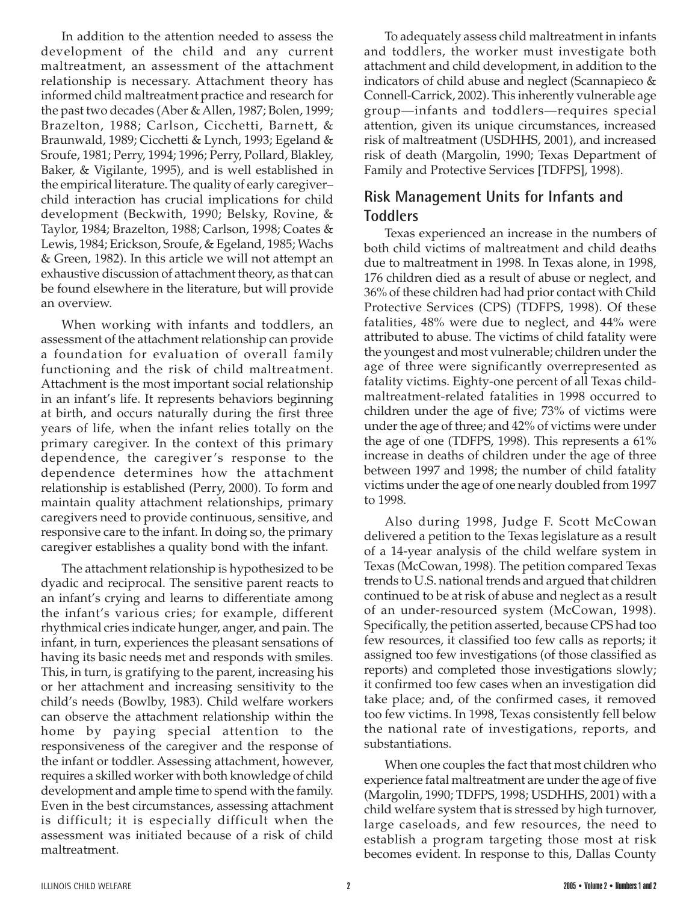In addition to the attention needed to assess the development of the child and any current maltreatment, an assessment of the attachment relationship is necessary. Attachment theory has informed child maltreatment practice and research for the past two decades (Aber & Allen, 1987; Bolen, 1999; Brazelton, 1988; Carlson, Cicchetti, Barnett, & Braunwald, 1989; Cicchetti & Lynch, 1993; Egeland & Sroufe, 1981; Perry, 1994; 1996; Perry, Pollard, Blakley, Baker, & Vigilante, 1995), and is well established in the empirical literature. The quality of early caregiver– child interaction has crucial implications for child development (Beckwith, 1990; Belsky, Rovine, & Taylor, 1984; Brazelton, 1988; Carlson, 1998; Coates & Lewis, 1984; Erickson, Sroufe, & Egeland, 1985; Wachs & Green, 1982). In this article we will not attempt an exhaustive discussion of attachment theory, as that can be found elsewhere in the literature, but will provide an overview.

When working with infants and toddlers, an assessment of the attachment relationship can provide a foundation for evaluation of overall family functioning and the risk of child maltreatment. Attachment is the most important social relationship in an infant's life. It represents behaviors beginning at birth, and occurs naturally during the first three years of life, when the infant relies totally on the primary caregiver. In the context of this primary dependence, the caregiver's response to the dependence determines how the attachment relationship is established (Perry, 2000). To form and maintain quality attachment relationships, primary caregivers need to provide continuous, sensitive, and responsive care to the infant. In doing so, the primary caregiver establishes a quality bond with the infant.

The attachment relationship is hypothesized to be dyadic and reciprocal. The sensitive parent reacts to an infant's crying and learns to differentiate among the infant's various cries; for example, different rhythmical cries indicate hunger, anger, and pain. The infant, in turn, experiences the pleasant sensations of having its basic needs met and responds with smiles. This, in turn, is gratifying to the parent, increasing his or her attachment and increasing sensitivity to the child's needs (Bowlby, 1983). Child welfare workers can observe the attachment relationship within the home by paying special attention to the responsiveness of the caregiver and the response of the infant or toddler. Assessing attachment, however, requires a skilled worker with both knowledge of child development and ample time to spend with the family. Even in the best circumstances, assessing attachment is difficult; it is especially difficult when the assessment was initiated because of a risk of child maltreatment.

To adequately assess child maltreatment in infants and toddlers, the worker must investigate both attachment and child development, in addition to the indicators of child abuse and neglect (Scannapieco & Connell-Carrick, 2002). This inherently vulnerable age group—infants and toddlers—requires special attention, given its unique circumstances, increased risk of maltreatment (USDHHS, 2001), and increased risk of death (Margolin, 1990; Texas Department of Family and Protective Services [TDFPS], 1998).

## **Risk Management Units for Infants and Toddlers**

Texas experienced an increase in the numbers of both child victims of maltreatment and child deaths due to maltreatment in 1998. In Texas alone, in 1998, 176 children died as a result of abuse or neglect, and 36% of these children had had prior contact with Child Protective Services (CPS) (TDFPS, 1998). Of these fatalities, 48% were due to neglect, and 44% were attributed to abuse. The victims of child fatality were the youngest and most vulnerable; children under the age of three were significantly overrepresented as fatality victims. Eighty-one percent of all Texas childmaltreatment-related fatalities in 1998 occurred to children under the age of five; 73% of victims were under the age of three; and 42% of victims were under the age of one (TDFPS, 1998). This represents a 61% increase in deaths of children under the age of three between 1997 and 1998; the number of child fatality victims under the age of one nearly doubled from 1997 to 1998.

Also during 1998, Judge F. Scott McCowan delivered a petition to the Texas legislature as a result of a 14-year analysis of the child welfare system in Texas (McCowan, 1998). The petition compared Texas trends to U.S. national trends and argued that children continued to be at risk of abuse and neglect as a result of an under-resourced system (McCowan, 1998). Specifically, the petition asserted, because CPS had too few resources, it classified too few calls as reports; it assigned too few investigations (of those classified as reports) and completed those investigations slowly; it confirmed too few cases when an investigation did take place; and, of the confirmed cases, it removed too few victims. In 1998, Texas consistently fell below the national rate of investigations, reports, and substantiations.

When one couples the fact that most children who experience fatal maltreatment are under the age of five (Margolin, 1990; TDFPS, 1998; USDHHS, 2001) with a child welfare system that is stressed by high turnover, large caseloads, and few resources, the need to establish a program targeting those most at risk becomes evident. In response to this, Dallas County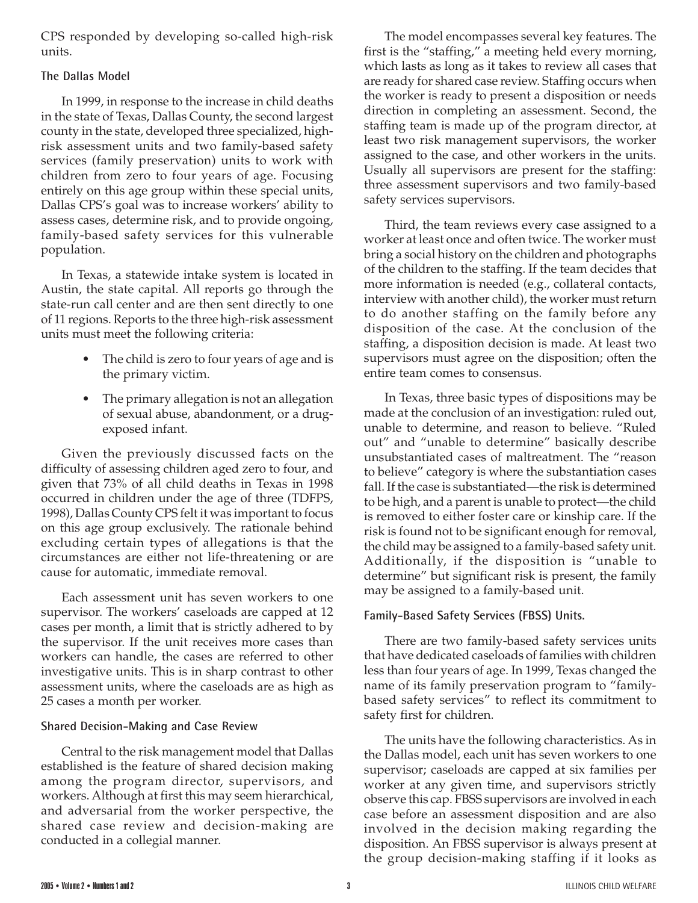CPS responded by developing so-called high-risk units.

#### **The Dallas Model**

In 1999, in response to the increase in child deaths in the state of Texas, Dallas County, the second largest county in the state, developed three specialized, highrisk assessment units and two family-based safety services (family preservation) units to work with children from zero to four years of age. Focusing entirely on this age group within these special units, Dallas CPS's goal was to increase workers' ability to assess cases, determine risk, and to provide ongoing, family-based safety services for this vulnerable population.

In Texas, a statewide intake system is located in Austin, the state capital. All reports go through the state-run call center and are then sent directly to one of 11 regions. Reports to the three high-risk assessment units must meet the following criteria:

- The child is zero to four years of age and is the primary victim.
- The primary allegation is not an allegation of sexual abuse, abandonment, or a drugexposed infant.

Given the previously discussed facts on the difficulty of assessing children aged zero to four, and given that 73% of all child deaths in Texas in 1998 occurred in children under the age of three (TDFPS, 1998), Dallas County CPS felt it was important to focus on this age group exclusively. The rationale behind excluding certain types of allegations is that the circumstances are either not life-threatening or are cause for automatic, immediate removal.

Each assessment unit has seven workers to one supervisor. The workers' caseloads are capped at 12 cases per month, a limit that is strictly adhered to by the supervisor. If the unit receives more cases than workers can handle, the cases are referred to other investigative units. This is in sharp contrast to other assessment units, where the caseloads are as high as 25 cases a month per worker.

#### **Shared Decision-Making and Case Review**

Central to the risk management model that Dallas established is the feature of shared decision making among the program director, supervisors, and workers. Although at first this may seem hierarchical, and adversarial from the worker perspective, the shared case review and decision-making are conducted in a collegial manner.

The model encompasses several key features. The first is the "staffing," a meeting held every morning, which lasts as long as it takes to review all cases that are ready for shared case review. Staffing occurs when the worker is ready to present a disposition or needs direction in completing an assessment. Second, the staffing team is made up of the program director, at least two risk management supervisors, the worker assigned to the case, and other workers in the units. Usually all supervisors are present for the staffing: three assessment supervisors and two family-based safety services supervisors.

Third, the team reviews every case assigned to a worker at least once and often twice. The worker must bring a social history on the children and photographs of the children to the staffing. If the team decides that more information is needed (e.g., collateral contacts, interview with another child), the worker must return to do another staffing on the family before any disposition of the case. At the conclusion of the staffing, a disposition decision is made. At least two supervisors must agree on the disposition; often the entire team comes to consensus.

In Texas, three basic types of dispositions may be made at the conclusion of an investigation: ruled out, unable to determine, and reason to believe. "Ruled out" and "unable to determine" basically describe unsubstantiated cases of maltreatment. The "reason to believe" category is where the substantiation cases fall. If the case is substantiated—the risk is determined to be high, and a parent is unable to protect—the child is removed to either foster care or kinship care. If the risk is found not to be significant enough for removal, the child may be assigned to a family-based safety unit. Additionally, if the disposition is "unable to determine" but significant risk is present, the family may be assigned to a family-based unit.

#### **Family-Based Safety Services (FBSS) Units.**

There are two family-based safety services units that have dedicated caseloads of families with children less than four years of age. In 1999, Texas changed the name of its family preservation program to "familybased safety services" to reflect its commitment to safety first for children.

The units have the following characteristics. As in the Dallas model, each unit has seven workers to one supervisor; caseloads are capped at six families per worker at any given time, and supervisors strictly observe this cap. FBSS supervisors are involved in each case before an assessment disposition and are also involved in the decision making regarding the disposition. An FBSS supervisor is always present at the group decision-making staffing if it looks as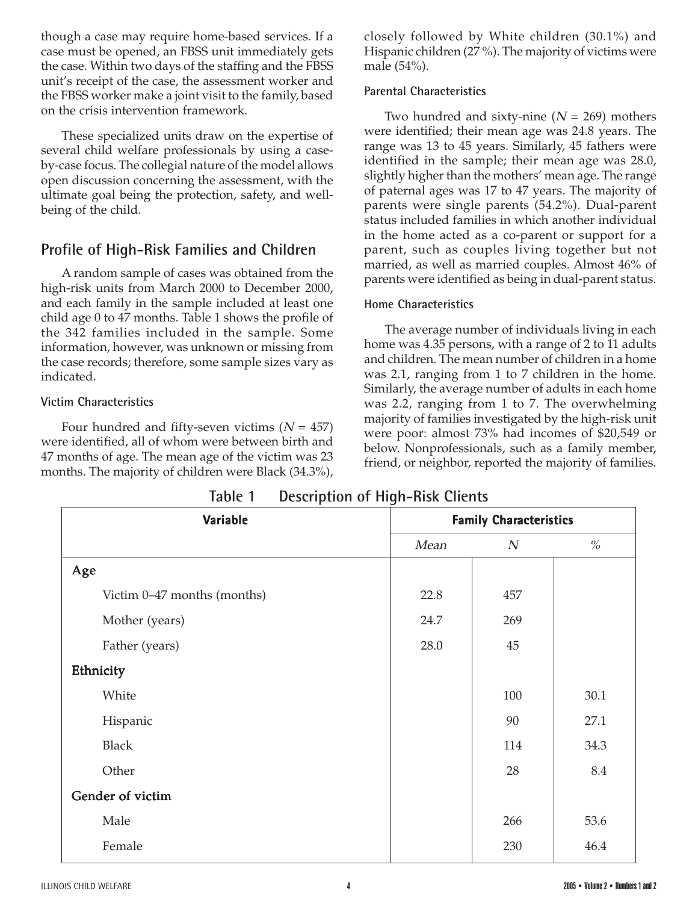though a case may require home-based services. If a case must be opened, an FBSS unit immediately gets the case. Within two days of the staffing and the FBSS unit's receipt of the case, the assessment worker and the FBSS worker make a joint visit to the family, based on the crisis intervention framework.

These specialized units draw on the expertise of several child welfare professionals by using a caseby-case focus. The collegial nature of the model allows open discussion concerning the assessment, with the ultimate goal being the protection, safety, and wellbeing of the child.

## **Profile of High-Risk Families and Children**

A random sample of cases was obtained from the high-risk units from March 2000 to December 2000, and each family in the sample included at least one child age 0 to 47 months. Table 1 shows the profile of the 342 families included in the sample. Some information, however, was unknown or missing from the case records; therefore, some sample sizes vary as indicated.

#### **Victim Characteristics**

Four hundred and fifty-seven victims  $(N = 457)$ were identified, all of whom were between birth and 47 months of age. The mean age of the victim was 23 months. The majority of children were Black (34.3%), closely followed by White children (30.1%) and Hispanic children (27 %). The majority of victims were male (54%).

#### **Parental Characteristics**

Two hundred and sixty-nine  $(N = 269)$  mothers were identified; their mean age was 24.8 years. The range was 13 to 45 years. Similarly, 45 fathers were identified in the sample; their mean age was 28.0, slightly higher than the mothers' mean age. The range of paternal ages was 17 to 47 years. The majority of parents were single parents (54.2%). Dual-parent status included families in which another individual in the home acted as a co-parent or support for a parent, such as couples living together but not married, as well as married couples. Almost 46% of parents were identified as being in dual-parent status.

#### **Home Characteristics**

The average number of individuals living in each home was 4.35 persons, with a range of 2 to 11 adults and children. The mean number of children in a home was 2.1, ranging from 1 to 7 children in the home. Similarly, the average number of adults in each home was 2.2, ranging from 1 to 7. The overwhelming majority of families investigated by the high-risk unit were poor: almost 73% had incomes of \$20,549 or below. Nonprofessionals, such as a family member, friend, or neighbor, reported the majority of families.

| <b>IQUIC I</b><br>DESCRIPTION OF HIGH-MISK CHEMIS |                               |     |      |  |  |
|---------------------------------------------------|-------------------------------|-----|------|--|--|
| Variable                                          | <b>Family Characteristics</b> |     |      |  |  |
|                                                   | Mean                          | N   | $\%$ |  |  |
| Age                                               |                               |     |      |  |  |
| Victim 0-47 months (months)                       | 22.8                          | 457 |      |  |  |
| Mother (years)                                    | 24.7                          | 269 |      |  |  |
| Father (years)                                    | 28.0                          | 45  |      |  |  |
| Ethnicity                                         |                               |     |      |  |  |
| White                                             |                               | 100 | 30.1 |  |  |
| Hispanic                                          |                               | 90  | 27.1 |  |  |
| <b>Black</b>                                      |                               | 114 | 34.3 |  |  |
| Other                                             |                               | 28  | 8.4  |  |  |
| Gender of victim                                  |                               |     |      |  |  |
| Male                                              |                               | 266 | 53.6 |  |  |
| Female                                            |                               | 230 | 46.4 |  |  |

**Table 1 Description of High-Risk Clients**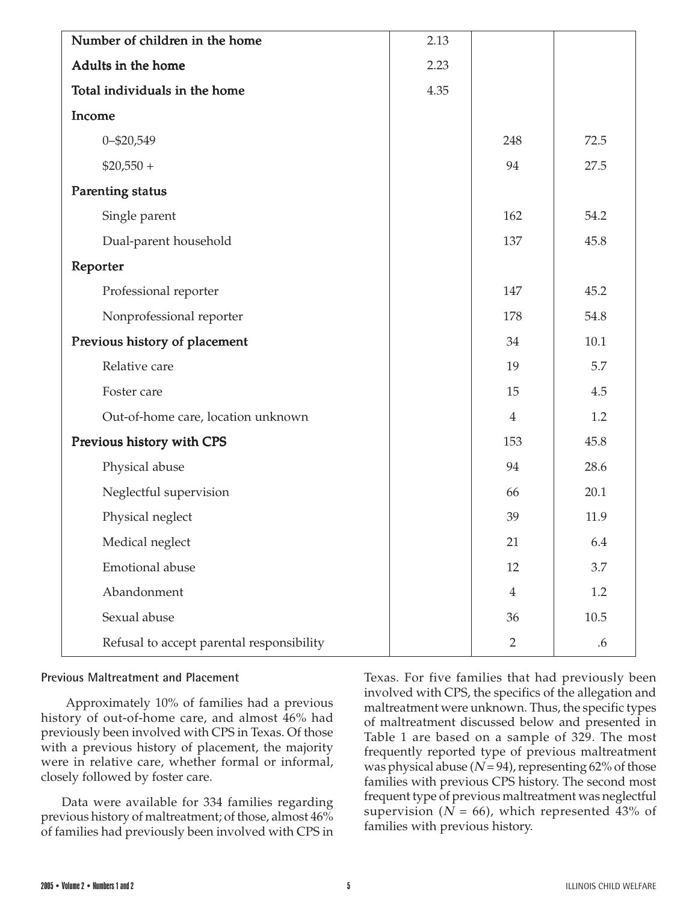| Number of children in the home            | 2.13 |                |      |
|-------------------------------------------|------|----------------|------|
| Adults in the home                        | 2.23 |                |      |
| Total individuals in the home             | 4.35 |                |      |
| Income                                    |      |                |      |
| 0-\$20,549                                |      | 248            | 72.5 |
| $$20,550 +$                               |      | 94             | 27.5 |
| <b>Parenting status</b>                   |      |                |      |
| Single parent                             |      | 162            | 54.2 |
| Dual-parent household                     |      | 137            | 45.8 |
| Reporter                                  |      |                |      |
| Professional reporter                     |      | 147            | 45.2 |
| Nonprofessional reporter                  |      | 178            | 54.8 |
| Previous history of placement             |      | 34             | 10.1 |
| Relative care                             |      | 19             | 5.7  |
| Foster care                               |      | 15             | 4.5  |
| Out-of-home care, location unknown        |      | $\overline{4}$ | 1.2  |
| Previous history with CPS                 |      | 153            | 45.8 |
| Physical abuse                            |      | 94             | 28.6 |
| Neglectful supervision                    |      | 66             | 20.1 |
| Physical neglect                          |      | 39             | 11.9 |
| Medical neglect                           |      | 21             | 6.4  |
| Emotional abuse                           |      | 12             | 3.7  |
| Abandonment                               |      | $\overline{4}$ | 1.2  |
| Sexual abuse                              |      | 36             | 10.5 |
| Refusal to accept parental responsibility |      | $\overline{2}$ | .6   |

#### **Previous Maltreatment and Placement**

 Approximately 10% of families had a previous history of out-of-home care, and almost 46% had previously been involved with CPS in Texas. Of those with a previous history of placement, the majority were in relative care, whether formal or informal, closely followed by foster care.

Data were available for 334 families regarding previous history of maltreatment; of those, almost 46% of families had previously been involved with CPS in Texas. For five families that had previously been involved with CPS, the specifics of the allegation and maltreatment were unknown. Thus, the specific types of maltreatment discussed below and presented in Table 1 are based on a sample of 329. The most frequently reported type of previous maltreatment was physical abuse ( $N = 94$ ), representing 62% of those families with previous CPS history. The second most frequent type of previous maltreatment was neglectful supervision ( $N = 66$ ), which represented 43% of families with previous history.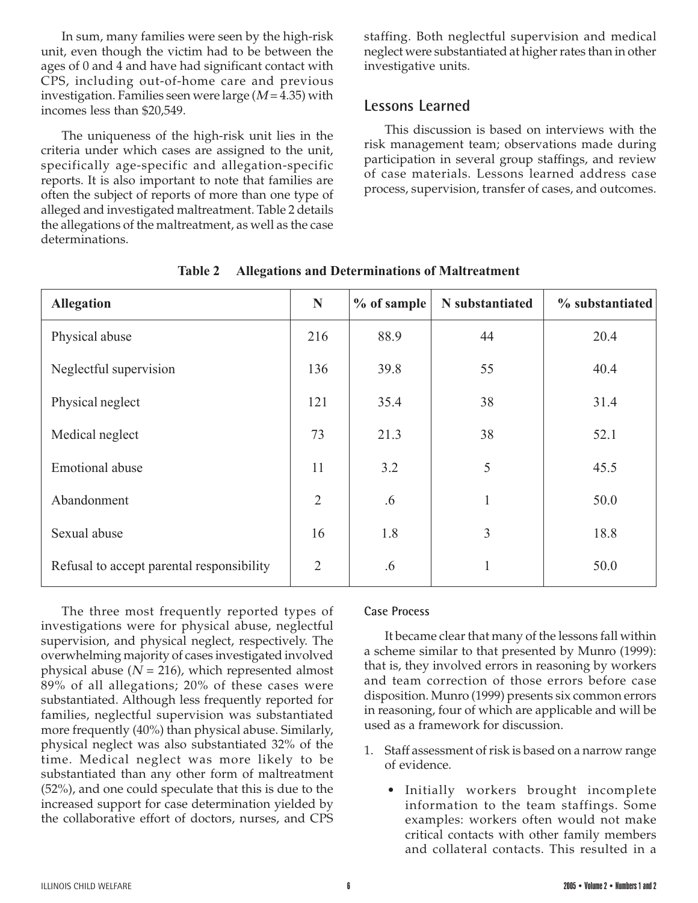In sum, many families were seen by the high-risk unit, even though the victim had to be between the ages of 0 and 4 and have had significant contact with CPS, including out-of-home care and previous investigation. Families seen were large  $(M = 4.35)$  with incomes less than \$20,549.

The uniqueness of the high-risk unit lies in the criteria under which cases are assigned to the unit, specifically age-specific and allegation-specific reports. It is also important to note that families are often the subject of reports of more than one type of alleged and investigated maltreatment. Table 2 details the allegations of the maltreatment, as well as the case determinations.

staffing. Both neglectful supervision and medical neglect were substantiated at higher rates than in other investigative units.

## **Lessons Learned**

This discussion is based on interviews with the risk management team; observations made during participation in several group staffings, and review of case materials. Lessons learned address case process, supervision, transfer of cases, and outcomes.

| <b>Allegation</b>                         | N              | $%$ of sample | N substantiated | % substantiated |
|-------------------------------------------|----------------|---------------|-----------------|-----------------|
| Physical abuse                            | 216            | 88.9          | 44              | 20.4            |
| Neglectful supervision                    | 136            | 39.8          | 55              | 40.4            |
| Physical neglect                          | 121            | 35.4          | 38              | 31.4            |
| Medical neglect                           | 73             | 21.3          | 38              | 52.1            |
| <b>Emotional</b> abuse                    | 11             | 3.2           | 5               | 45.5            |
| Abandonment                               | $\overline{2}$ | .6            | $\mathbf{1}$    | 50.0            |
| Sexual abuse                              | 16             | 1.8           | 3               | 18.8            |
| Refusal to accept parental responsibility | $\overline{2}$ | .6            | 1               | 50.0            |

**Table 2 Allegations and Determinations of Maltreatment**

The three most frequently reported types of investigations were for physical abuse, neglectful supervision, and physical neglect, respectively. The overwhelming majority of cases investigated involved physical abuse ( $N = 216$ ), which represented almost 89% of all allegations; 20% of these cases were substantiated. Although less frequently reported for families, neglectful supervision was substantiated more frequently (40%) than physical abuse. Similarly, physical neglect was also substantiated 32% of the time. Medical neglect was more likely to be substantiated than any other form of maltreatment (52%), and one could speculate that this is due to the increased support for case determination yielded by the collaborative effort of doctors, nurses, and CPS

#### **Case Process**

It became clear that many of the lessons fall within a scheme similar to that presented by Munro (1999): that is, they involved errors in reasoning by workers and team correction of those errors before case disposition. Munro (1999) presents six common errors in reasoning, four of which are applicable and will be used as a framework for discussion.

- 1. Staff assessment of risk is based on a narrow range of evidence.
	- Initially workers brought incomplete information to the team staffings. Some examples: workers often would not make critical contacts with other family members and collateral contacts. This resulted in a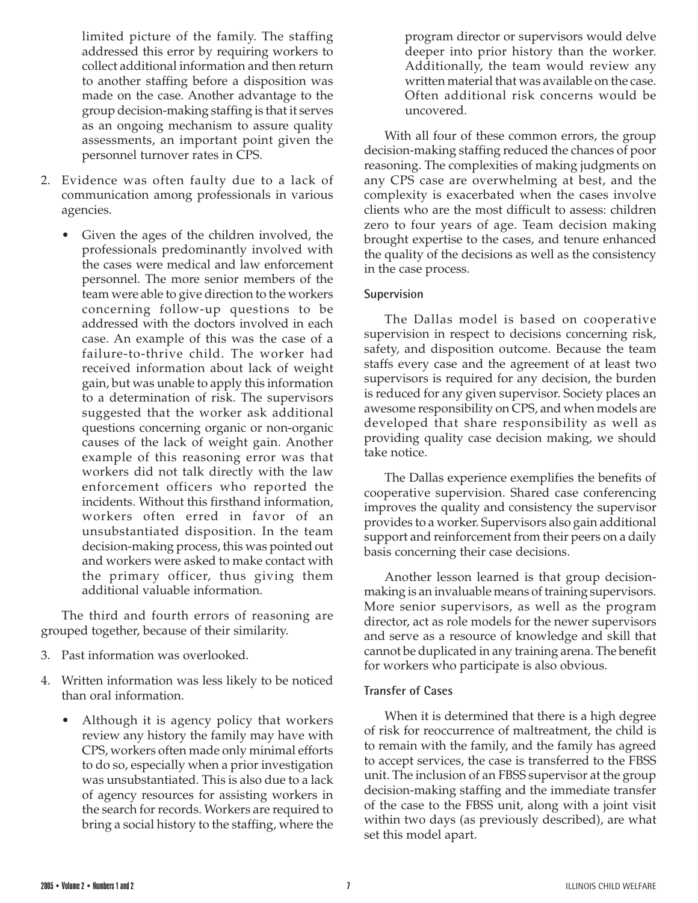limited picture of the family. The staffing addressed this error by requiring workers to collect additional information and then return to another staffing before a disposition was made on the case. Another advantage to the group decision-making staffing is that it serves as an ongoing mechanism to assure quality assessments, an important point given the personnel turnover rates in CPS.

- 2. Evidence was often faulty due to a lack of communication among professionals in various agencies.
	- Given the ages of the children involved, the professionals predominantly involved with the cases were medical and law enforcement personnel. The more senior members of the team were able to give direction to the workers concerning follow-up questions to be addressed with the doctors involved in each case. An example of this was the case of a failure-to-thrive child. The worker had received information about lack of weight gain, but was unable to apply this information to a determination of risk. The supervisors suggested that the worker ask additional questions concerning organic or non-organic causes of the lack of weight gain. Another example of this reasoning error was that workers did not talk directly with the law enforcement officers who reported the incidents. Without this firsthand information, workers often erred in favor of an unsubstantiated disposition. In the team decision-making process, this was pointed out and workers were asked to make contact with the primary officer, thus giving them additional valuable information.

The third and fourth errors of reasoning are grouped together, because of their similarity.

- 3. Past information was overlooked.
- 4. Written information was less likely to be noticed than oral information.
	- Although it is agency policy that workers review any history the family may have with CPS, workers often made only minimal efforts to do so, especially when a prior investigation was unsubstantiated. This is also due to a lack of agency resources for assisting workers in the search for records. Workers are required to bring a social history to the staffing, where the

program director or supervisors would delve deeper into prior history than the worker. Additionally, the team would review any written material that was available on the case. Often additional risk concerns would be uncovered.

With all four of these common errors, the group decision-making staffing reduced the chances of poor reasoning. The complexities of making judgments on any CPS case are overwhelming at best, and the complexity is exacerbated when the cases involve clients who are the most difficult to assess: children zero to four years of age. Team decision making brought expertise to the cases, and tenure enhanced the quality of the decisions as well as the consistency in the case process.

### **Supervision**

The Dallas model is based on cooperative supervision in respect to decisions concerning risk, safety, and disposition outcome. Because the team staffs every case and the agreement of at least two supervisors is required for any decision, the burden is reduced for any given supervisor. Society places an awesome responsibility on CPS, and when models are developed that share responsibility as well as providing quality case decision making, we should take notice.

The Dallas experience exemplifies the benefits of cooperative supervision. Shared case conferencing improves the quality and consistency the supervisor provides to a worker. Supervisors also gain additional support and reinforcement from their peers on a daily basis concerning their case decisions.

Another lesson learned is that group decisionmaking is an invaluable means of training supervisors. More senior supervisors, as well as the program director, act as role models for the newer supervisors and serve as a resource of knowledge and skill that cannot be duplicated in any training arena. The benefit for workers who participate is also obvious.

#### **Transfer of Cases**

When it is determined that there is a high degree of risk for reoccurrence of maltreatment, the child is to remain with the family, and the family has agreed to accept services, the case is transferred to the FBSS unit. The inclusion of an FBSS supervisor at the group decision-making staffing and the immediate transfer of the case to the FBSS unit, along with a joint visit within two days (as previously described), are what set this model apart.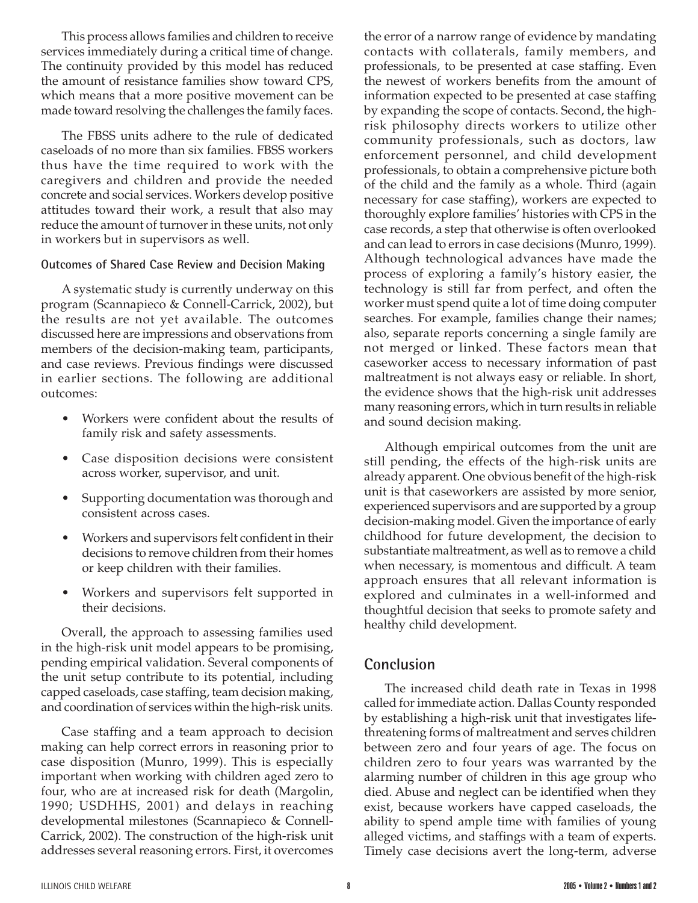This process allows families and children to receive services immediately during a critical time of change. The continuity provided by this model has reduced the amount of resistance families show toward CPS, which means that a more positive movement can be made toward resolving the challenges the family faces.

The FBSS units adhere to the rule of dedicated caseloads of no more than six families. FBSS workers thus have the time required to work with the caregivers and children and provide the needed concrete and social services. Workers develop positive attitudes toward their work, a result that also may reduce the amount of turnover in these units, not only in workers but in supervisors as well.

#### **Outcomes of Shared Case Review and Decision Making**

A systematic study is currently underway on this program (Scannapieco & Connell-Carrick, 2002), but the results are not yet available. The outcomes discussed here are impressions and observations from members of the decision-making team, participants, and case reviews. Previous findings were discussed in earlier sections. The following are additional outcomes:

- Workers were confident about the results of family risk and safety assessments.
- Case disposition decisions were consistent across worker, supervisor, and unit.
- Supporting documentation was thorough and consistent across cases.
- Workers and supervisors felt confident in their decisions to remove children from their homes or keep children with their families.
- Workers and supervisors felt supported in their decisions.

Overall, the approach to assessing families used in the high-risk unit model appears to be promising, pending empirical validation. Several components of the unit setup contribute to its potential, including capped caseloads, case staffing, team decision making, and coordination of services within the high-risk units.

Case staffing and a team approach to decision making can help correct errors in reasoning prior to case disposition (Munro, 1999). This is especially important when working with children aged zero to four, who are at increased risk for death (Margolin, 1990; USDHHS, 2001) and delays in reaching developmental milestones (Scannapieco & Connell-Carrick, 2002). The construction of the high-risk unit addresses several reasoning errors. First, it overcomes

the error of a narrow range of evidence by mandating contacts with collaterals, family members, and professionals, to be presented at case staffing. Even the newest of workers benefits from the amount of information expected to be presented at case staffing by expanding the scope of contacts. Second, the highrisk philosophy directs workers to utilize other community professionals, such as doctors, law enforcement personnel, and child development professionals, to obtain a comprehensive picture both of the child and the family as a whole. Third (again necessary for case staffing), workers are expected to thoroughly explore families' histories with CPS in the case records, a step that otherwise is often overlooked and can lead to errors in case decisions (Munro, 1999). Although technological advances have made the process of exploring a family's history easier, the technology is still far from perfect, and often the worker must spend quite a lot of time doing computer searches. For example, families change their names; also, separate reports concerning a single family are not merged or linked. These factors mean that caseworker access to necessary information of past maltreatment is not always easy or reliable. In short, the evidence shows that the high-risk unit addresses many reasoning errors, which in turn results in reliable and sound decision making.

Although empirical outcomes from the unit are still pending, the effects of the high-risk units are already apparent. One obvious benefit of the high-risk unit is that caseworkers are assisted by more senior, experienced supervisors and are supported by a group decision-making model. Given the importance of early childhood for future development, the decision to substantiate maltreatment, as well as to remove a child when necessary, is momentous and difficult. A team approach ensures that all relevant information is explored and culminates in a well-informed and thoughtful decision that seeks to promote safety and healthy child development.

### **Conclusion**

The increased child death rate in Texas in 1998 called for immediate action. Dallas County responded by establishing a high-risk unit that investigates lifethreatening forms of maltreatment and serves children between zero and four years of age. The focus on children zero to four years was warranted by the alarming number of children in this age group who died. Abuse and neglect can be identified when they exist, because workers have capped caseloads, the ability to spend ample time with families of young alleged victims, and staffings with a team of experts. Timely case decisions avert the long-term, adverse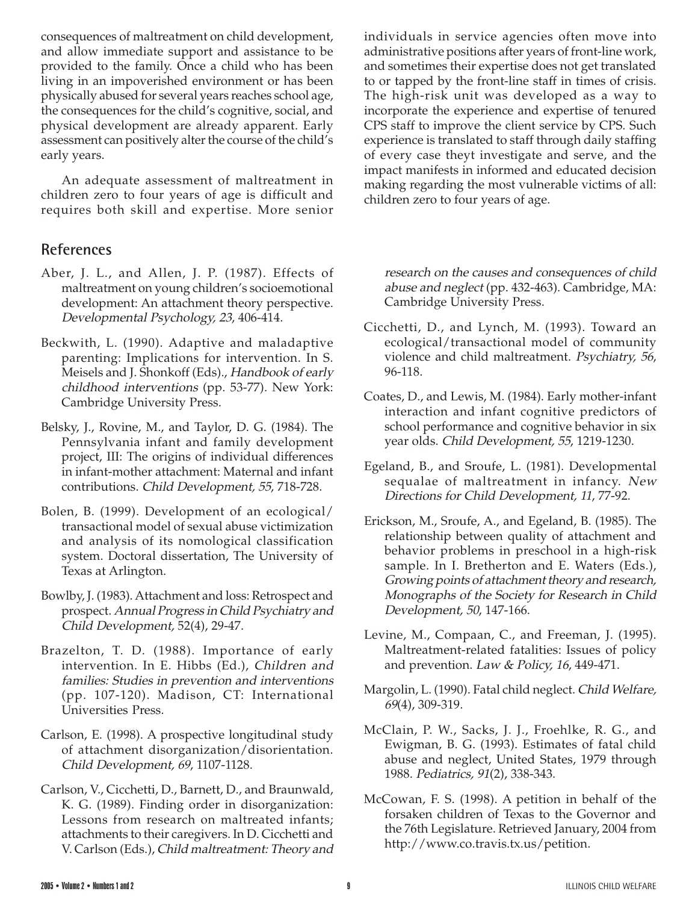consequences of maltreatment on child development, and allow immediate support and assistance to be provided to the family. Once a child who has been living in an impoverished environment or has been physically abused for several years reaches school age, the consequences for the child's cognitive, social, and physical development are already apparent. Early assessment can positively alter the course of the child's early years.

An adequate assessment of maltreatment in children zero to four years of age is difficult and requires both skill and expertise. More senior

## **References**

- Aber, J. L., and Allen, J. P. (1987). Effects of maltreatment on young children's socioemotional development: An attachment theory perspective. Developmental Psychology, 23, 406-414.
- Beckwith, L. (1990). Adaptive and maladaptive parenting: Implications for intervention. In S. Meisels and J. Shonkoff (Eds)., Handbook of early childhood interventions (pp. 53-77). New York: Cambridge University Press.
- Belsky, J., Rovine, M., and Taylor, D. G. (1984). The Pennsylvania infant and family development project, III: The origins of individual differences in infant-mother attachment: Maternal and infant contributions. Child Development, 55, 718-728.
- Bolen, B. (1999). Development of an ecological/ transactional model of sexual abuse victimization and analysis of its nomological classification system. Doctoral dissertation, The University of Texas at Arlington.
- Bowlby, J. (1983). Attachment and loss: Retrospect and prospect. Annual Progress in Child Psychiatry and Child Development, 52(4), 29-47.
- Brazelton, T. D. (1988). Importance of early intervention. In E. Hibbs (Ed.), Children and families: Studies in prevention and interventions (pp. 107-120). Madison, CT: International Universities Press.
- Carlson, E. (1998). A prospective longitudinal study of attachment disorganization/disorientation. Child Development, 69, 1107-1128.
- Carlson, V., Cicchetti, D., Barnett, D., and Braunwald, K. G. (1989). Finding order in disorganization: Lessons from research on maltreated infants; attachments to their caregivers. In D. Cicchetti and V. Carlson (Eds.), Child maltreatment: Theory and

individuals in service agencies often move into administrative positions after years of front-line work, and sometimes their expertise does not get translated to or tapped by the front-line staff in times of crisis. The high-risk unit was developed as a way to incorporate the experience and expertise of tenured CPS staff to improve the client service by CPS. Such experience is translated to staff through daily staffing of every case theyt investigate and serve, and the impact manifests in informed and educated decision making regarding the most vulnerable victims of all: children zero to four years of age.

research on the causes and consequences of child abuse and neglect (pp. 432-463). Cambridge, MA: Cambridge University Press.

- Cicchetti, D., and Lynch, M. (1993). Toward an ecological/transactional model of community violence and child maltreatment. Psychiatry, 56, 96-118.
- Coates, D., and Lewis, M. (1984). Early mother-infant interaction and infant cognitive predictors of school performance and cognitive behavior in six year olds. Child Development, 55, 1219-1230.
- Egeland, B., and Sroufe, L. (1981). Developmental sequalae of maltreatment in infancy. New Directions for Child Development, 11, 77-92.
- Erickson, M., Sroufe, A., and Egeland, B. (1985). The relationship between quality of attachment and behavior problems in preschool in a high-risk sample. In I. Bretherton and E. Waters (Eds.), Growing points of attachment theory and research, Monographs of the Society for Research in Child Development, 50, 147-166.
- Levine, M., Compaan, C., and Freeman, J. (1995). Maltreatment-related fatalities: Issues of policy and prevention. Law & Policy, 16, 449-471.
- Margolin, L. (1990). Fatal child neglect. Child Welfare, 69(4), 309-319.
- McClain, P. W., Sacks, J. J., Froehlke, R. G., and Ewigman, B. G. (1993). Estimates of fatal child abuse and neglect, United States, 1979 through 1988. Pediatrics, 91(2), 338-343.
- McCowan, F. S. (1998). A petition in behalf of the forsaken children of Texas to the Governor and the 76th Legislature. Retrieved January, 2004 from http://www.co.travis.tx.us/petition.